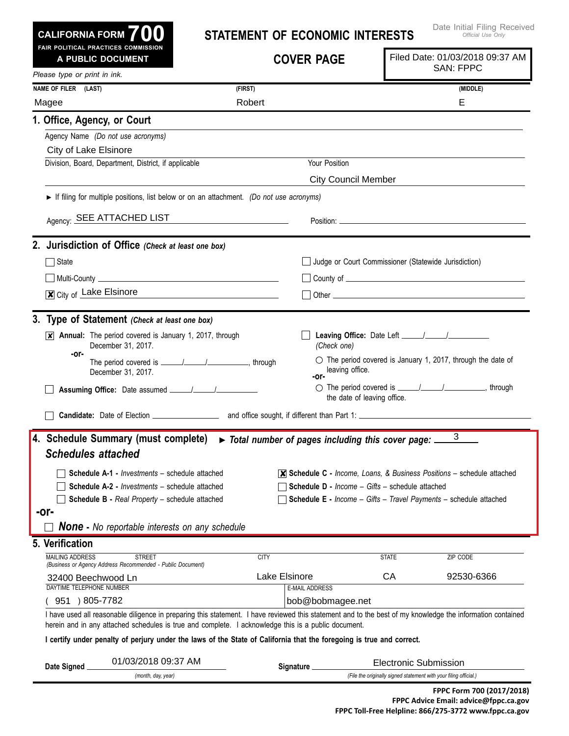| <b>CALIFORNIA FORM 700</b>                                                                                                                                                                                                                                                                            | Date Initial Filing Receive<br><b>STATEMENT OF ECONOMIC INTERESTS</b><br>Official Use Only                                                                                                                                           |                                                                                                                                                                                                                                  |  |  |  |
|-------------------------------------------------------------------------------------------------------------------------------------------------------------------------------------------------------------------------------------------------------------------------------------------------------|--------------------------------------------------------------------------------------------------------------------------------------------------------------------------------------------------------------------------------------|----------------------------------------------------------------------------------------------------------------------------------------------------------------------------------------------------------------------------------|--|--|--|
| FAIR POLITICAL PRACTICES COMMISSION<br>A PUBLIC DOCUMENT                                                                                                                                                                                                                                              | <b>COVER PAGE</b>                                                                                                                                                                                                                    | Filed Date: 01/03/2018 09:37 AM<br><b>SAN: FPPC</b>                                                                                                                                                                              |  |  |  |
| Please type or print in ink.                                                                                                                                                                                                                                                                          |                                                                                                                                                                                                                                      |                                                                                                                                                                                                                                  |  |  |  |
| NAME OF FILER (LAST)                                                                                                                                                                                                                                                                                  | (FIRST)                                                                                                                                                                                                                              | (MIDDLE)                                                                                                                                                                                                                         |  |  |  |
| Magee                                                                                                                                                                                                                                                                                                 | Robert                                                                                                                                                                                                                               | Е                                                                                                                                                                                                                                |  |  |  |
| 1. Office, Agency, or Court                                                                                                                                                                                                                                                                           |                                                                                                                                                                                                                                      |                                                                                                                                                                                                                                  |  |  |  |
| Agency Name (Do not use acronyms)                                                                                                                                                                                                                                                                     |                                                                                                                                                                                                                                      |                                                                                                                                                                                                                                  |  |  |  |
| City of Lake Elsinore                                                                                                                                                                                                                                                                                 |                                                                                                                                                                                                                                      |                                                                                                                                                                                                                                  |  |  |  |
| Division, Board, Department, District, if applicable                                                                                                                                                                                                                                                  | Your Position                                                                                                                                                                                                                        |                                                                                                                                                                                                                                  |  |  |  |
|                                                                                                                                                                                                                                                                                                       |                                                                                                                                                                                                                                      | <b>City Council Member</b>                                                                                                                                                                                                       |  |  |  |
|                                                                                                                                                                                                                                                                                                       | If filing for multiple positions, list below or on an attachment. (Do not use acronyms)                                                                                                                                              |                                                                                                                                                                                                                                  |  |  |  |
| Agency: SEE ATTACHED LIST                                                                                                                                                                                                                                                                             | <u> 1980 - John Stein, mars and de Branch and de Branch and de Branch and de Branch and de Branch and de Branch an</u>                                                                                                               |                                                                                                                                                                                                                                  |  |  |  |
| 2. Jurisdiction of Office (Check at least one box)                                                                                                                                                                                                                                                    |                                                                                                                                                                                                                                      |                                                                                                                                                                                                                                  |  |  |  |
| State                                                                                                                                                                                                                                                                                                 |                                                                                                                                                                                                                                      | Judge or Court Commissioner (Statewide Jurisdiction)                                                                                                                                                                             |  |  |  |
|                                                                                                                                                                                                                                                                                                       | <u>  Multi-County   William   Multi-County   William   William   William   William   William   William   William   William   William   William   William   William   William   William   William   William   William   William  </u> |                                                                                                                                                                                                                                  |  |  |  |
| City of Lake Elsinore                                                                                                                                                                                                                                                                                 | <u> 1989 - Andrea Station Books, amerikansk politik (</u>                                                                                                                                                                            |                                                                                                                                                                                                                                  |  |  |  |
| 3. Type of Statement (Check at least one box)                                                                                                                                                                                                                                                         |                                                                                                                                                                                                                                      |                                                                                                                                                                                                                                  |  |  |  |
| $\overline{x}$ Annual: The period covered is January 1, 2017, through<br>December 31, 2017.                                                                                                                                                                                                           | (Check one)                                                                                                                                                                                                                          |                                                                                                                                                                                                                                  |  |  |  |
| -or-<br>December 31, 2017.                                                                                                                                                                                                                                                                            | -or-                                                                                                                                                                                                                                 | $\circlearrowright$ The period covered is January 1, 2017, through the date of<br>leaving office.                                                                                                                                |  |  |  |
|                                                                                                                                                                                                                                                                                                       |                                                                                                                                                                                                                                      | the date of leaving office.                                                                                                                                                                                                      |  |  |  |
|                                                                                                                                                                                                                                                                                                       |                                                                                                                                                                                                                                      |                                                                                                                                                                                                                                  |  |  |  |
| 4. Schedule Summary (must complete)<br><b>Schedules attached</b><br><b>Schedule A-1 - Investments - schedule attached</b><br><b>Schedule A-2 - Investments - schedule attached</b><br>Schedule B - Real Property - schedule attached<br>-or-<br><b>None</b> - No reportable interests on any schedule | > Total number of pages including this cover page:                                                                                                                                                                                   | 3<br>$\overline{\mathsf{x}}$ Schedule C - Income, Loans, & Business Positions – schedule attached<br>Schedule D - Income - Gifts - schedule attached<br><b>Schedule E</b> - Income - Gifts - Travel Payments - schedule attached |  |  |  |
| 5. Verification                                                                                                                                                                                                                                                                                       |                                                                                                                                                                                                                                      |                                                                                                                                                                                                                                  |  |  |  |
| <b>MAILING ADDRESS</b><br><b>STREET</b><br>(Business or Agency Address Recommended - Public Document)                                                                                                                                                                                                 | <b>CITY</b>                                                                                                                                                                                                                          | <b>STATE</b><br>ZIP CODE                                                                                                                                                                                                         |  |  |  |
| 32400 Beechwood Ln                                                                                                                                                                                                                                                                                    | Lake Elsinore                                                                                                                                                                                                                        | 92530-6366<br>CA                                                                                                                                                                                                                 |  |  |  |
| DAYTIME TELEPHONE NUMBER                                                                                                                                                                                                                                                                              | <b>E-MAIL ADDRESS</b>                                                                                                                                                                                                                |                                                                                                                                                                                                                                  |  |  |  |
| 951 ) 805-7782                                                                                                                                                                                                                                                                                        | bob@bobmagee.net                                                                                                                                                                                                                     | I have used all reasonable diligence in preparing this statement. I have reviewed this statement and to the best of my knowledge the information contained                                                                       |  |  |  |
|                                                                                                                                                                                                                                                                                                       | herein and in any attached schedules is true and complete. I acknowledge this is a public document.<br>I certify under penalty of perjury under the laws of the State of California that the foregoing is true and correct.          |                                                                                                                                                                                                                                  |  |  |  |
| 01/03/2018 09:37 AM<br>Date Signed.                                                                                                                                                                                                                                                                   | Signature __                                                                                                                                                                                                                         | <b>Electronic Submission</b>                                                                                                                                                                                                     |  |  |  |
| (month, day, year)                                                                                                                                                                                                                                                                                    |                                                                                                                                                                                                                                      | (File the originally signed statement with your filing official.)                                                                                                                                                                |  |  |  |

Date Initial Filing Received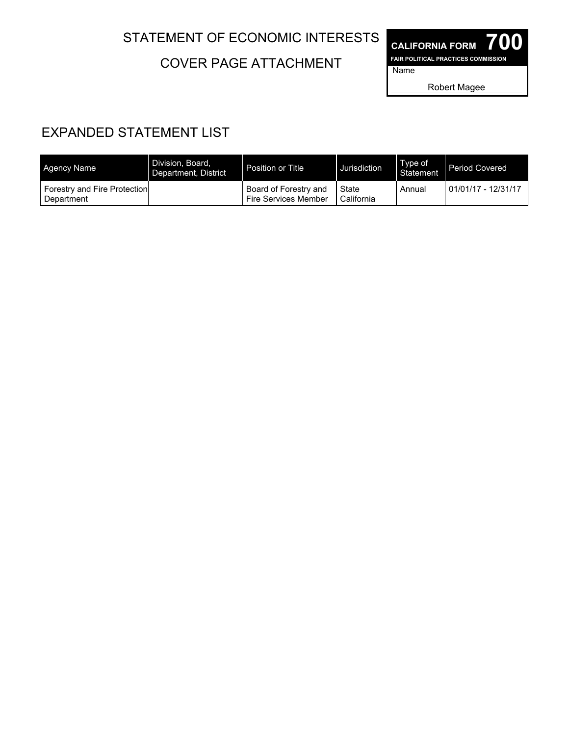## STATEMENT OF ECONOMIC INTERESTS

COVER PAGE ATTACHMENT

**CALIFORNIA FORM 700 FAIR POLITICAL PRACTICES COMMISSION** Name

Robert Magee

## EXPANDED STATEMENT LIST

| <b>Agency Name</b>                         | Division, Board.<br>Department, District | Position or Title                             | Jurisdiction          | Type of<br>Statement | Period Covered      |
|--------------------------------------------|------------------------------------------|-----------------------------------------------|-----------------------|----------------------|---------------------|
| Forestry and Fire Protection<br>Department |                                          | Board of Forestry and<br>Fire Services Member | State<br>l California | Annual               | 01/01/17 - 12/31/17 |